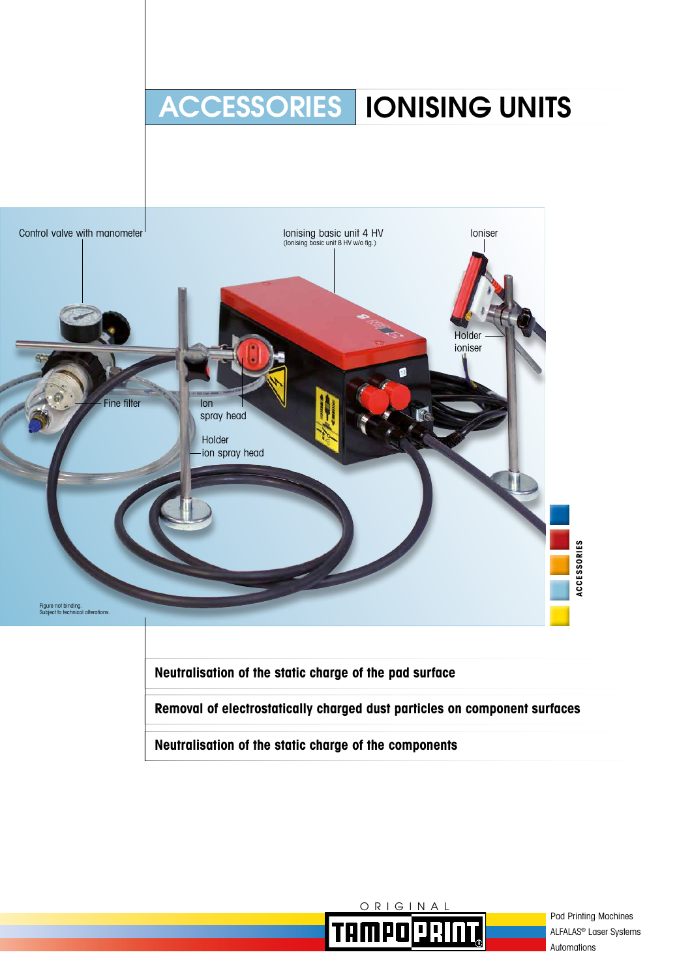# ACCESSORIES IONISING UNITS



**Neutralisation of the static charge of the pad surface**

**Removal of electrostatically charged dust particles on component surfaces**

**Neutralisation of the static charge of the components**



Pad Printing Machines ALFALAS® Laser Systems Automations